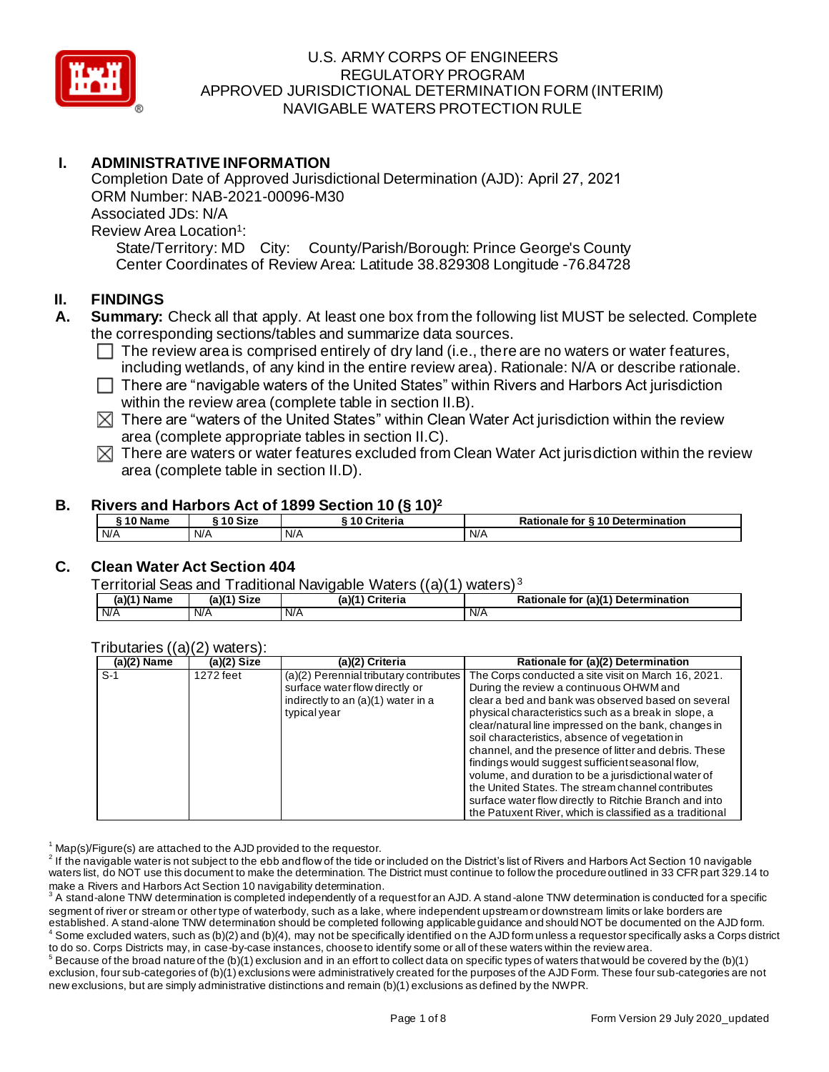

# **I. ADMINISTRATIVE INFORMATION**

Completion Date of Approved Jurisdictional Determination (AJD): April 27, 2021 ORM Number: NAB-2021-00096-M30 Associated JDs: N/A Review Area Location<sup>1</sup>: State/Territory: MD City: County/Parish/Borough: Prince George's County Center Coordinates of Review Area: Latitude 38.829308 Longitude -76.84728

#### **II. FINDINGS**

- **A. Summary:** Check all that apply. At least one box from the following list MUST be selected. Complete the corresponding sections/tables and summarize data sources.
	- $\Box$  The review area is comprised entirely of dry land (i.e., there are no waters or water features, including wetlands, of any kind in the entire review area). Rationale: N/A or describe rationale.
	- $\Box$  There are "navigable waters of the United States" within Rivers and Harbors Act jurisdiction within the review area (complete table in section II.B).
	- $\boxtimes$  There are "waters of the United States" within Clean Water Act jurisdiction within the review area (complete appropriate tables in section II.C).
	- $\boxtimes$  There are waters or water features excluded from Clean Water Act jurisdiction within the review area (complete table in section II.D).

#### **B. Rivers and Harbors Act of 1899 Section 10 (§ 10)<sup>2</sup>**

| 10 Name | `10 Size | . .<br>Criteria | for §10 Determination<br>Rationale |
|---------|----------|-----------------|------------------------------------|
| N/A     | N/A      | N/A             | N/A                                |

# **C. Clean Water Act Section 404**

Territorial Seas and Traditional Navigable Waters ((a)(1) waters) <sup>3</sup>

| (a)(1)<br><b>Name</b> | <b>Size</b><br>(a)(1` | (a)( <sup>4</sup><br>Criteria | .r (a)(1`<br><b>Determination</b><br>Rationale<br>⊧tor ∈ |
|-----------------------|-----------------------|-------------------------------|----------------------------------------------------------|
| I N/A                 | N/A                   | N/A                           | N/A                                                      |

#### Tributaries ((a)(2) waters):

| $(a)(2)$ Name | $(a)(2)$ Size | (a)(2) Criteria                                                                                                                | Rationale for $(a)(\overline{2})$ Determination                                                                                                                                                                                                                                                                                                                                                                                                                                                                                                                                                                                                                        |
|---------------|---------------|--------------------------------------------------------------------------------------------------------------------------------|------------------------------------------------------------------------------------------------------------------------------------------------------------------------------------------------------------------------------------------------------------------------------------------------------------------------------------------------------------------------------------------------------------------------------------------------------------------------------------------------------------------------------------------------------------------------------------------------------------------------------------------------------------------------|
| $S-1$         | 1272 feet     | (a)(2) Perennial tributary contributes<br>surface water flow directly or<br>indirectly to an (a)(1) water in a<br>typical year | The Corps conducted a site visit on March 16, 2021.<br>During the review a continuous OHWM and<br>clear a bed and bank was observed based on several<br>physical characteristics such as a break in slope, a<br>clear/natural line impressed on the bank, changes in<br>soil characteristics, absence of vegetation in<br>channel, and the presence of litter and debris. These<br>findings would suggest sufficient seasonal flow,<br>volume, and duration to be a jurisdictional water of<br>the United States. The stream channel contributes<br>surface water flow directly to Ritchie Branch and into<br>the Patuxent River, which is classified as a traditional |

 $1$  Map(s)/Figure(s) are attached to the AJD provided to the requestor.

 $^2$  If the navigable water is not subject to the ebb and flow of the tide or included on the District's list of Rivers and Harbors Act Section 10 navigable waters list, do NOT use this document to make the determination. The District must continue to follow the procedure outlined in 33 CFR part 329.14 to make a Rivers and Harbors Act Section 10 navigability determination.

 $^3$  A stand-alone TNW determination is completed independently of a request for an AJD. A stand-alone TNW determination is conducted for a specific segment of river or stream or other type of waterbody, such as a lake, where independent upstream or downstream limits or lake borders are established. A stand-alone TNW determination should be completed following applicable guidance and should NOT be documented on the AJD form. Some excluded waters, such as (b)(2) and (b)(4), may not be specifically identified on the AJD form unless a requestor specifically asks a Corps district to do so. Corps Districts may, in case-by-case instances, choose to identify some or all of these waters within the review area.

 $^5$  Because of the broad nature of the (b)(1) exclusion and in an effort to collect data on specific types of waters that would be covered by the (b)(1) exclusion, four sub-categories of (b)(1) exclusions were administratively created for the purposes of the AJD Form. These four sub-categories are not new exclusions, but are simply administrative distinctions and remain (b)(1) exclusions as defined by the NWPR.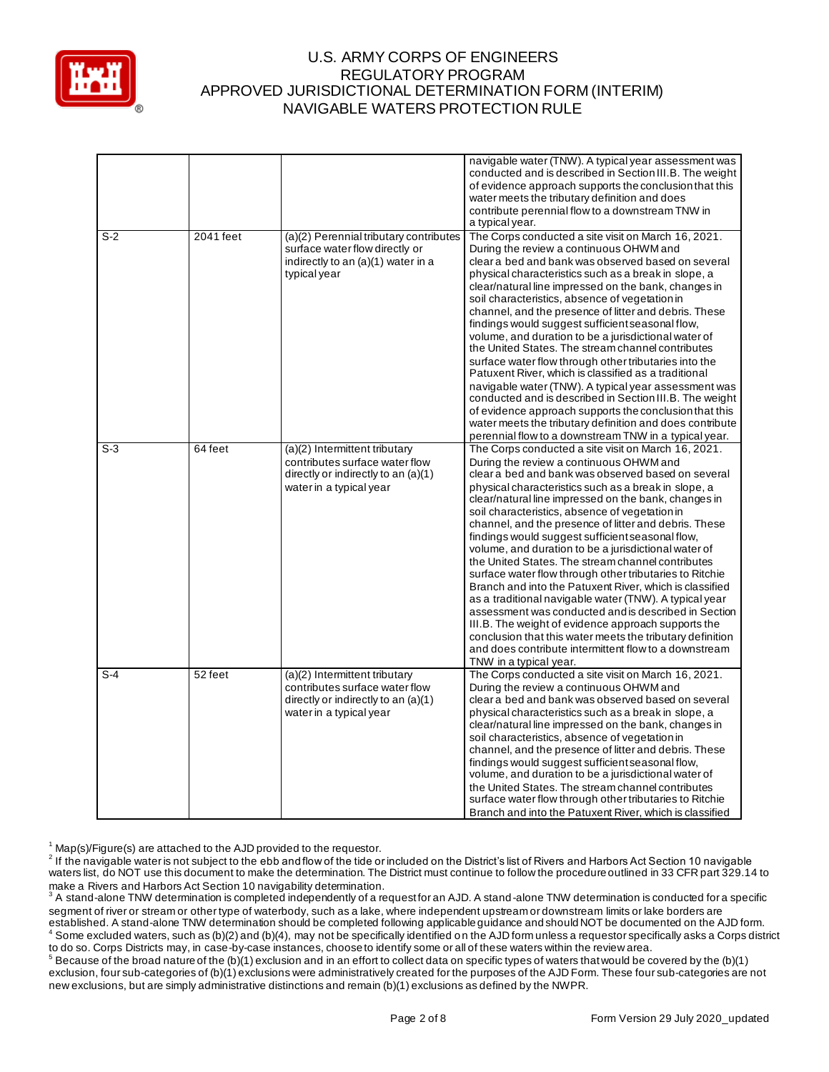

|       |           |                                                                                                                                   | navigable water (TNW). A typical year assessment was<br>conducted and is described in Section III.B. The weight<br>of evidence approach supports the conclusion that this<br>water meets the tributary definition and does<br>contribute perennial flow to a downstream TNW in<br>a typical year.                                                                                                                                                                                                                                                                                                                                                                                                                                                                                                                                                                                                                                                                                               |
|-------|-----------|-----------------------------------------------------------------------------------------------------------------------------------|-------------------------------------------------------------------------------------------------------------------------------------------------------------------------------------------------------------------------------------------------------------------------------------------------------------------------------------------------------------------------------------------------------------------------------------------------------------------------------------------------------------------------------------------------------------------------------------------------------------------------------------------------------------------------------------------------------------------------------------------------------------------------------------------------------------------------------------------------------------------------------------------------------------------------------------------------------------------------------------------------|
| $S-2$ | 2041 feet | (a)(2) Perennial tributary contributes<br>surface water flow directly or<br>indirectly to an (a)(1) water in a<br>typical year    | The Corps conducted a site visit on March 16, 2021.<br>During the review a continuous OHWM and<br>clear a bed and bank was observed based on several<br>physical characteristics such as a break in slope, a<br>clear/natural line impressed on the bank, changes in<br>soil characteristics, absence of vegetation in<br>channel, and the presence of litter and debris. These<br>findings would suggest sufficient seasonal flow,<br>volume, and duration to be a jurisdictional water of<br>the United States. The stream channel contributes<br>surface water flow through other tributaries into the<br>Patuxent River, which is classified as a traditional<br>navigable water (TNW). A typical year assessment was<br>conducted and is described in Section III.B. The weight<br>of evidence approach supports the conclusion that this<br>water meets the tributary definition and does contribute<br>perennial flow to a downstream TNW in a typical year.                             |
| $S-3$ | 64 feet   | (a)(2) Intermittent tributary<br>contributes surface water flow<br>directly or indirectly to an (a)(1)<br>water in a typical year | The Corps conducted a site visit on March 16, 2021.<br>During the review a continuous OHWM and<br>clear a bed and bank was observed based on several<br>physical characteristics such as a break in slope, a<br>clear/natural line impressed on the bank, changes in<br>soil characteristics, absence of vegetation in<br>channel, and the presence of litter and debris. These<br>findings would suggest sufficient seasonal flow,<br>volume, and duration to be a jurisdictional water of<br>the United States. The stream channel contributes<br>surface water flow through other tributaries to Ritchie<br>Branch and into the Patuxent River, which is classified<br>as a traditional navigable water (TNW). A typical year<br>assessment was conducted and is described in Section<br>III.B. The weight of evidence approach supports the<br>conclusion that this water meets the tributary definition<br>and does contribute intermittent flow to a downstream<br>TNW in a typical year. |
| $S-4$ | 52 feet   | (a)(2) Intermittent tributary<br>contributes surface water flow<br>directly or indirectly to an (a)(1)<br>water in a typical year | The Corps conducted a site visit on March 16, 2021.<br>During the review a continuous OHWM and<br>clear a bed and bank was observed based on several<br>physical characteristics such as a break in slope, a<br>clear/natural line impressed on the bank, changes in<br>soil characteristics, absence of vegetation in<br>channel, and the presence of litter and debris. These<br>findings would suggest sufficient seasonal flow,<br>volume, and duration to be a jurisdictional water of<br>the United States. The stream channel contributes<br>surface water flow through other tributaries to Ritchie<br>Branch and into the Patuxent River, which is classified                                                                                                                                                                                                                                                                                                                          |

 $1$  Map(s)/Figure(s) are attached to the AJD provided to the requestor.

 $^2$  If the navigable water is not subject to the ebb and flow of the tide or included on the District's list of Rivers and Harbors Act Section 10 navigable waters list, do NOT use this document to make the determination. The District must continue to follow the procedure outlined in 33 CFR part 329.14 to make a Rivers and Harbors Act Section 10 navigability determination.

 $^3$  A stand-alone TNW determination is completed independently of a request for an AJD. A stand-alone TNW determination is conducted for a specific segment of river or stream or other type of waterbody, such as a lake, where independent upstream or downstream limits or lake borders are established. A stand-alone TNW determination should be completed following applicable guidance and should NOT be documented on the AJD form.  $^4$  Some excluded waters, such as (b)(2) and (b)(4), may not be specifically identified on the AJD form unless a requestor specifically asks a Corps district to do so. Corps Districts may, in case-by-case instances, choose to identify some or all of these waters within the review area.

 $^5$  Because of the broad nature of the (b)(1) exclusion and in an effort to collect data on specific types of waters that would be covered by the (b)(1) exclusion, four sub-categories of (b)(1) exclusions were administratively created for the purposes of the AJD Form. These four sub-categories are not new exclusions, but are simply administrative distinctions and remain (b)(1) exclusions as defined by the NWPR.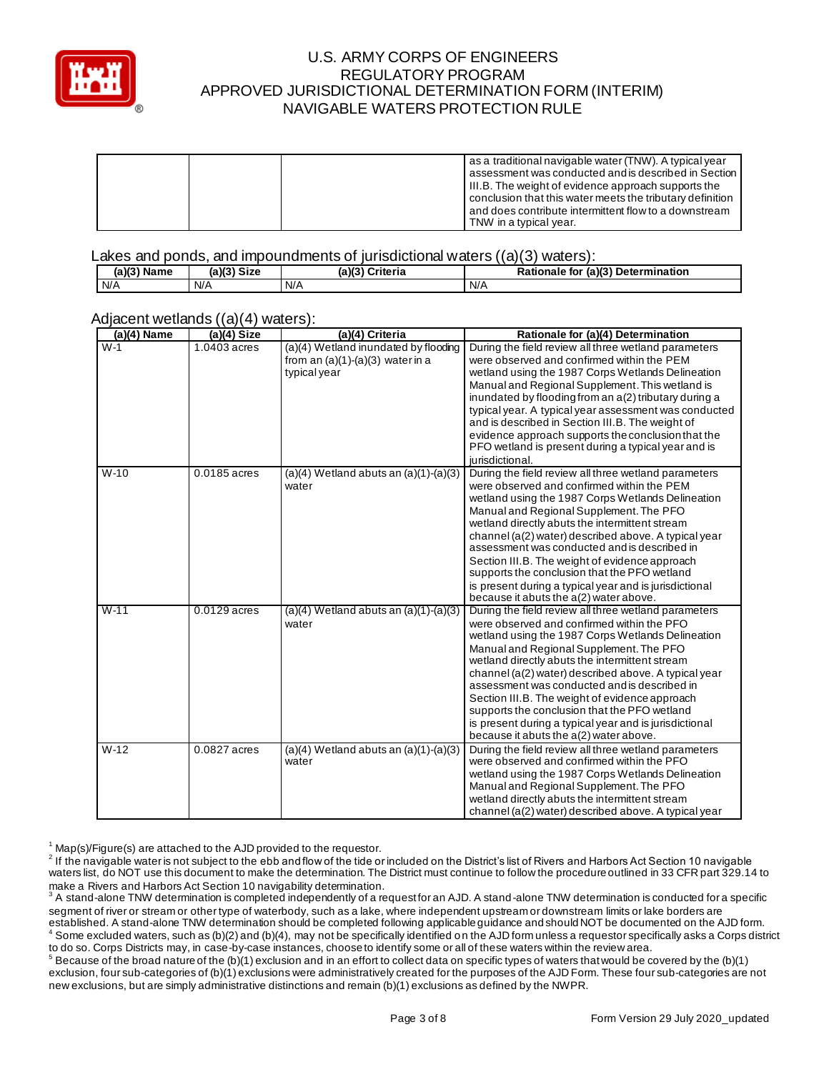

|  | as a traditional navigable water (TNW). A typical year<br>assessment was conducted and is described in Section   |
|--|------------------------------------------------------------------------------------------------------------------|
|  | III.B. The weight of evidence approach supports the<br>conclusion that this water meets the tributary definition |
|  | and does contribute intermittent flow to a downstream<br>TNW in a typical year.                                  |

#### Lakes and ponds, and impoundments of jurisdictional waters  $((a)(3)$  waters):

| $(a)(3)$ Name | $(a)(3)$ Size | (a)(3)<br>Criteria | : (a)(3) Determination<br><b>Rationale for</b> |
|---------------|---------------|--------------------|------------------------------------------------|
| N/A           | N/A           | N/A                | N/A                                            |

#### Adjacent wetlands ((a)(4) waters):

| $(a)(4)$ Name | $(a)(4)$ Size  | (a)(4) Criteria                                                                            | Rationale for (a)(4) Determination                                                                                                                                                                                                                                                                                                                                                                                                                                                                                                                                 |
|---------------|----------------|--------------------------------------------------------------------------------------------|--------------------------------------------------------------------------------------------------------------------------------------------------------------------------------------------------------------------------------------------------------------------------------------------------------------------------------------------------------------------------------------------------------------------------------------------------------------------------------------------------------------------------------------------------------------------|
| $W-1$         | 1.0403 acres   | (a)(4) Wetland inundated by flooding<br>from an $(a)(1)-(a)(3)$ water in a<br>typical year | During the field review all three wetland parameters<br>were observed and confirmed within the PEM<br>wetland using the 1987 Corps Wetlands Delineation<br>Manual and Regional Supplement. This wetland is<br>inundated by flooding from an a(2) tributary during a<br>typical year. A typical year assessment was conducted<br>and is described in Section III.B. The weight of<br>evidence approach supports the conclusion that the<br>PFO wetland is present during a typical year and is<br>jurisdictional.                                                   |
| $W-10$        | 0.0185 acres   | $(a)(4)$ Wetland abuts an $(a)(1)-(a)(3)$<br>water                                         | During the field review all three wetland parameters<br>were observed and confirmed within the PEM<br>wetland using the 1987 Corps Wetlands Delineation<br>Manual and Regional Supplement. The PFO<br>wetland directly abuts the intermittent stream<br>channel (a(2) water) described above. A typical year<br>assessment was conducted and is described in<br>Section III.B. The weight of evidence approach<br>supports the conclusion that the PFO wetland<br>is present during a typical year and is jurisdictional<br>because it abuts the a(2) water above. |
| $W-11$        | $0.0129$ acres | $(a)(4)$ Wetland abuts an $(a)(1)-(a)(3)$<br>water                                         | During the field review all three wetland parameters<br>were observed and confirmed within the PFO<br>wetland using the 1987 Corps Wetlands Delineation<br>Manual and Regional Supplement. The PFO<br>wetland directly abuts the intermittent stream<br>channel (a(2) water) described above. A typical year<br>assessment was conducted and is described in<br>Section III.B. The weight of evidence approach<br>supports the conclusion that the PFO wetland<br>is present during a typical year and is jurisdictional<br>because it abuts the a(2) water above. |
| $W-12$        | 0.0827 acres   | $(a)(4)$ Wetland abuts an $(a)(1)-(a)(3)$<br>water                                         | During the field review all three wetland parameters<br>were observed and confirmed within the PFO<br>wetland using the 1987 Corps Wetlands Delineation<br>Manual and Regional Supplement. The PFO<br>wetland directly abuts the intermittent stream<br>channel (a(2) water) described above. A typical year                                                                                                                                                                                                                                                       |

 $1$  Map(s)/Figure(s) are attached to the AJD provided to the requestor.

 $^2$  If the navigable water is not subject to the ebb and flow of the tide or included on the District's list of Rivers and Harbors Act Section 10 navigable waters list, do NOT use this document to make the determination. The District must continue to follow the procedure outlined in 33 CFR part 329.14 to make a Rivers and Harbors Act Section 10 navigability determination.

 $^3$  A stand-alone TNW determination is completed independently of a request for an AJD. A stand-alone TNW determination is conducted for a specific segment of river or stream or other type of waterbody, such as a lake, where independent upstream or downstream limits or lake borders are established. A stand-alone TNW determination should be completed following applicable guidance and should NOT be documented on the AJD form.  $^4$  Some excluded waters, such as (b)(2) and (b)(4), may not be specifically identified on the AJD form unless a requestor specifically asks a Corps district to do so. Corps Districts may, in case-by-case instances, choose to identify some or all of these waters within the review area.

 $^5$  Because of the broad nature of the (b)(1) exclusion and in an effort to collect data on specific types of waters that would be covered by the (b)(1) exclusion, four sub-categories of (b)(1) exclusions were administratively created for the purposes of the AJD Form. These four sub-categories are not new exclusions, but are simply administrative distinctions and remain (b)(1) exclusions as defined by the NWPR.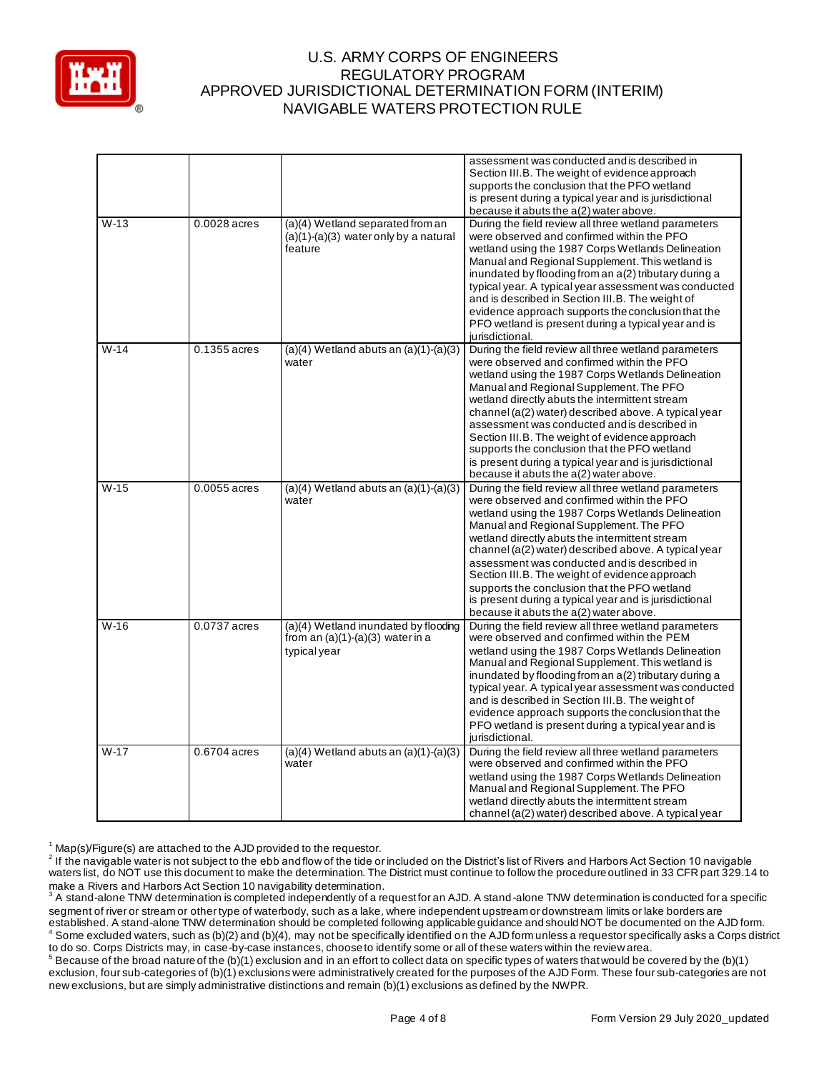

|        |              |                                                                                            | assessment was conducted and is described in<br>Section III.B. The weight of evidence approach<br>supports the conclusion that the PFO wetland<br>is present during a typical year and is jurisdictional<br>because it abuts the a(2) water above.                                                                                                                                                                                                                                                                                                                 |
|--------|--------------|--------------------------------------------------------------------------------------------|--------------------------------------------------------------------------------------------------------------------------------------------------------------------------------------------------------------------------------------------------------------------------------------------------------------------------------------------------------------------------------------------------------------------------------------------------------------------------------------------------------------------------------------------------------------------|
| $W-13$ | 0.0028 acres | (a)(4) Wetland separated from an<br>$(a)(1)-(a)(3)$ water only by a natural<br>feature     | During the field review all three wetland parameters<br>were observed and confirmed within the PFO<br>wetland using the 1987 Corps Wetlands Delineation<br>Manual and Regional Supplement. This wetland is<br>inundated by flooding from an a(2) tributary during a<br>typical year. A typical year assessment was conducted<br>and is described in Section III.B. The weight of<br>evidence approach supports the conclusion that the<br>PFO wetland is present during a typical year and is<br>jurisdictional.                                                   |
| $W-14$ | 0.1355 acres | $(a)(4)$ Wetland abuts an $(a)(1)-(a)(3)$<br>water                                         | During the field review all three wetland parameters<br>were observed and confirmed within the PFO<br>wetland using the 1987 Corps Wetlands Delineation<br>Manual and Regional Supplement. The PFO<br>wetland directly abuts the intermittent stream<br>channel (a(2) water) described above. A typical year<br>assessment was conducted and is described in<br>Section III.B. The weight of evidence approach<br>supports the conclusion that the PFO wetland<br>is present during a typical year and is jurisdictional<br>because it abuts the a(2) water above. |
| $W-15$ | 0.0055 acres | $(a)(4)$ Wetland abuts an $(a)(1)-(a)(3)$<br>water                                         | During the field review all three wetland parameters<br>were observed and confirmed within the PFO<br>wetland using the 1987 Corps Wetlands Delineation<br>Manual and Regional Supplement. The PFO<br>wetland directly abuts the intermittent stream<br>channel (a(2) water) described above. A typical year<br>assessment was conducted and is described in<br>Section III.B. The weight of evidence approach<br>supports the conclusion that the PFO wetland<br>is present during a typical year and is jurisdictional<br>because it abuts the a(2) water above. |
| $W-16$ | 0.0737 acres | (a)(4) Wetland inundated by flooding<br>from an $(a)(1)-(a)(3)$ water in a<br>typical year | During the field review all three wetland parameters<br>were observed and confirmed within the PEM<br>wetland using the 1987 Corps Wetlands Delineation<br>Manual and Regional Supplement. This wetland is<br>inundated by flooding from an a(2) tributary during a<br>typical year. A typical year assessment was conducted<br>and is described in Section III.B. The weight of<br>evidence approach supports the conclusion that the<br>PFO wetland is present during a typical year and is<br>jurisdictional.                                                   |
| $W-17$ | 0.6704 acres | $(a)(4)$ Wetland abuts an $(a)(1)-(a)(3)$<br>water                                         | During the field review all three wetland parameters<br>were observed and confirmed within the PFO<br>wetland using the 1987 Corps Wetlands Delineation<br>Manual and Regional Supplement. The PFO<br>wetland directly abuts the intermittent stream<br>channel (a(2) water) described above. A typical year                                                                                                                                                                                                                                                       |

 $1$  Map(s)/Figure(s) are attached to the AJD provided to the requestor.

 $^5$  Because of the broad nature of the (b)(1) exclusion and in an effort to collect data on specific types of waters that would be covered by the (b)(1) exclusion, four sub-categories of (b)(1) exclusions were administratively created for the purposes of the AJD Form. These four sub-categories are not new exclusions, but are simply administrative distinctions and remain (b)(1) exclusions as defined by the NWPR.

 $^2$  If the navigable water is not subject to the ebb and flow of the tide or included on the District's list of Rivers and Harbors Act Section 10 navigable waters list, do NOT use this document to make the determination. The District must continue to follow the procedure outlined in 33 CFR part 329.14 to

make a Rivers and Harbors Act Section 10 navigability determination.<br><sup>3</sup> A stand-alone TNW determination is completed independently of a requestfor an AJD. A stand-alone TNW determination is conducted for a specific segment of river or stream or other type of waterbody, such as a lake, where independent upstream or downstream limits or lake borders are established. A stand-alone TNW determination should be completed following applicable guidance and should NOT be documented on the AJD form. <sup>4</sup> Some excluded waters, such as (b)(2) and (b)(4), may not be specifically identified on the AJD form unless a requestor specifically asks a Corps district to do so. Corps Districts may, in case-by-case instances, choose to identify some or all of these waters within the review area.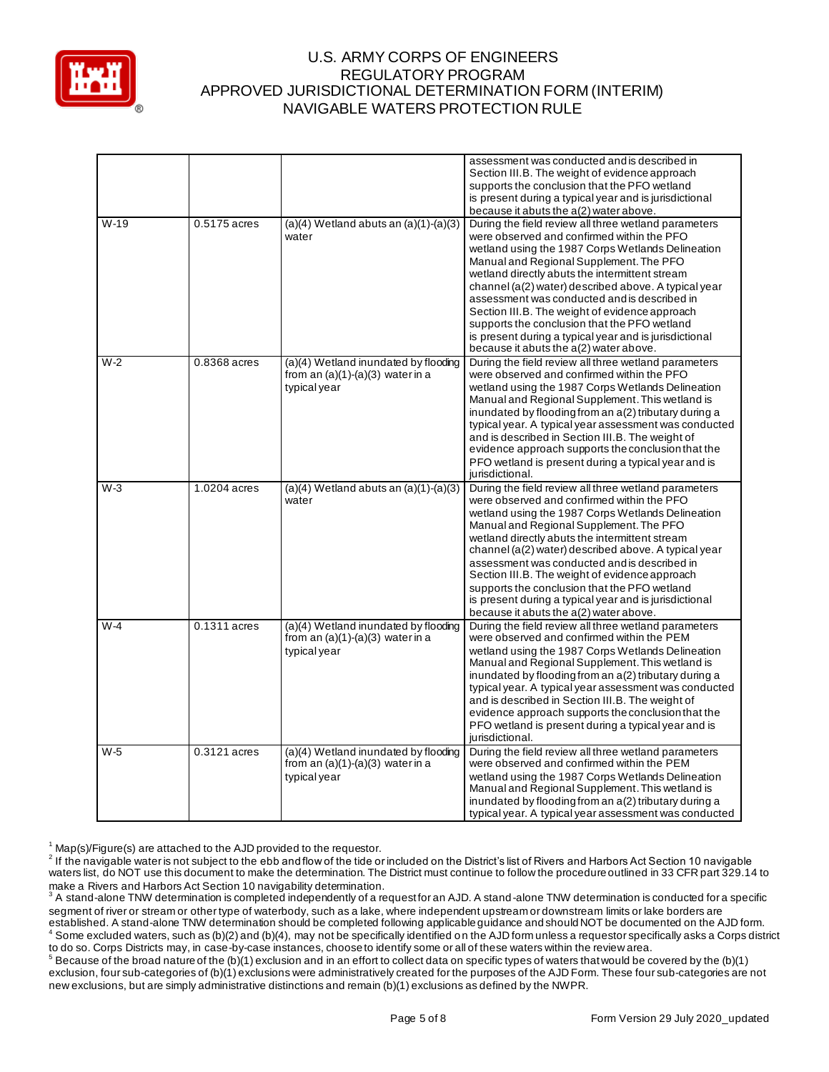

|        |              |                                                                                            | assessment was conducted and is described in<br>Section III.B. The weight of evidence approach<br>supports the conclusion that the PFO wetland<br>is present during a typical year and is jurisdictional<br>because it abuts the a(2) water above.                                                                                                                                                                                                                                                                                                                 |
|--------|--------------|--------------------------------------------------------------------------------------------|--------------------------------------------------------------------------------------------------------------------------------------------------------------------------------------------------------------------------------------------------------------------------------------------------------------------------------------------------------------------------------------------------------------------------------------------------------------------------------------------------------------------------------------------------------------------|
| $W-19$ | 0.5175 acres | $(a)(4)$ Wetland abuts an $(a)(1)-(a)(3)$<br>water                                         | During the field review all three wetland parameters<br>were observed and confirmed within the PFO<br>wetland using the 1987 Corps Wetlands Delineation<br>Manual and Regional Supplement. The PFO<br>wetland directly abuts the intermittent stream<br>channel (a(2) water) described above. A typical year<br>assessment was conducted and is described in<br>Section III.B. The weight of evidence approach<br>supports the conclusion that the PFO wetland<br>is present during a typical year and is jurisdictional<br>because it abuts the a(2) water above. |
| $W-2$  | 0.8368 acres | (a)(4) Wetland inundated by flooding<br>from an $(a)(1)-(a)(3)$ water in a<br>typical year | During the field review all three wetland parameters<br>were observed and confirmed within the PFO<br>wetland using the 1987 Corps Wetlands Delineation<br>Manual and Regional Supplement. This wetland is<br>inundated by flooding from an a(2) tributary during a<br>typical year. A typical year assessment was conducted<br>and is described in Section III.B. The weight of<br>evidence approach supports the conclusion that the<br>PFO wetland is present during a typical year and is<br>jurisdictional.                                                   |
| $W-3$  | 1.0204 acres | $(a)(4)$ Wetland abuts an $(a)(1)-(a)(3)$<br>water                                         | During the field review all three wetland parameters<br>were observed and confirmed within the PFO<br>wetland using the 1987 Corps Wetlands Delineation<br>Manual and Regional Supplement. The PFO<br>wetland directly abuts the intermittent stream<br>channel (a(2) water) described above. A typical year<br>assessment was conducted and is described in<br>Section III.B. The weight of evidence approach<br>supports the conclusion that the PFO wetland<br>is present during a typical year and is jurisdictional<br>because it abuts the a(2) water above. |
| $W-4$  | 0.1311 acres | (a)(4) Wetland inundated by flooding<br>from an $(a)(1)-(a)(3)$ water in a<br>typical year | During the field review all three wetland parameters<br>were observed and confirmed within the PEM<br>wetland using the 1987 Corps Wetlands Delineation<br>Manual and Regional Supplement. This wetland is<br>inundated by flooding from an a(2) tributary during a<br>typical year. A typical year assessment was conducted<br>and is described in Section III.B. The weight of<br>evidence approach supports the conclusion that the<br>PFO wetland is present during a typical year and is<br>jurisdictional.                                                   |
| $W-5$  | 0.3121 acres | (a)(4) Wetland inundated by flooding<br>from an $(a)(1)-(a)(3)$ water in a<br>typical year | During the field review all three wetland parameters<br>were observed and confirmed within the PEM<br>wetland using the 1987 Corps Wetlands Delineation<br>Manual and Regional Supplement. This wetland is<br>inundated by flooding from an a(2) tributary during a<br>typical year. A typical year assessment was conducted                                                                                                                                                                                                                                       |

 $1$  Map(s)/Figure(s) are attached to the AJD provided to the requestor.

 $^2$  If the navigable water is not subject to the ebb and flow of the tide or included on the District's list of Rivers and Harbors Act Section 10 navigable waters list, do NOT use this document to make the determination. The District must continue to follow the procedure outlined in 33 CFR part 329.14 to

make a Rivers and Harbors Act Section 10 navigability determination.<br><sup>3</sup> A stand-alone TNW determination is completed independently of a requestfor an AJD. A stand-alone TNW determination is conducted for a specific segment of river or stream or other type of waterbody, such as a lake, where independent upstream or downstream limits or lake borders are established. A stand-alone TNW determination should be completed following applicable guidance and should NOT be documented on the AJD form. <sup>4</sup> Some excluded waters, such as (b)(2) and (b)(4), may not be specifically identified on the AJD form unless a requestor specifically asks a Corps district to do so. Corps Districts may, in case-by-case instances, choose to identify some or all of these waters within the review area.

 $^5$  Because of the broad nature of the (b)(1) exclusion and in an effort to collect data on specific types of waters that would be covered by the (b)(1) exclusion, four sub-categories of (b)(1) exclusions were administratively created for the purposes of the AJD Form. These four sub-categories are not new exclusions, but are simply administrative distinctions and remain (b)(1) exclusions as defined by the NWPR.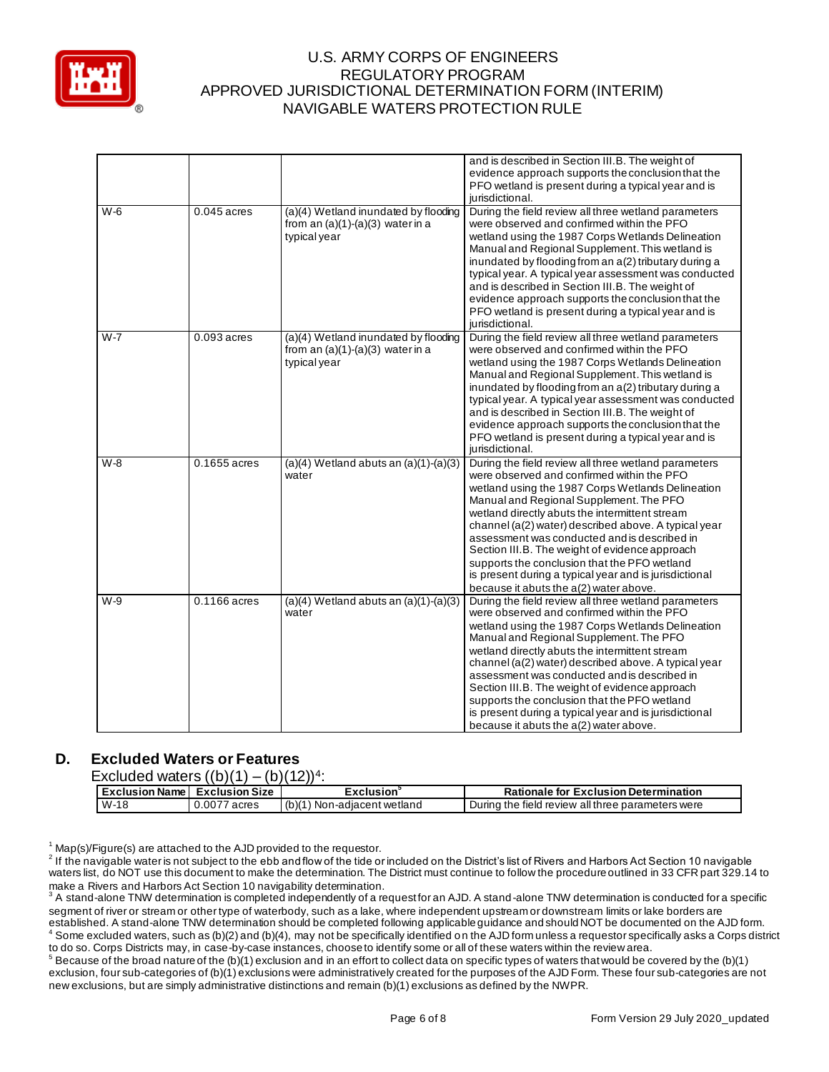

|         |                |                                                                                            | and is described in Section III.B. The weight of<br>evidence approach supports the conclusion that the<br>PFO wetland is present during a typical year and is<br>jurisdictional.                                                                                                                                                                                                                                                                                                                                                                                   |
|---------|----------------|--------------------------------------------------------------------------------------------|--------------------------------------------------------------------------------------------------------------------------------------------------------------------------------------------------------------------------------------------------------------------------------------------------------------------------------------------------------------------------------------------------------------------------------------------------------------------------------------------------------------------------------------------------------------------|
| $W-6$   | $0.045$ acres  | (a)(4) Wetland inundated by flooding<br>from an $(a)(1)-(a)(3)$ water in a<br>typical year | During the field review all three wetland parameters<br>were observed and confirmed within the PFO<br>wetland using the 1987 Corps Wetlands Delineation<br>Manual and Regional Supplement. This wetland is<br>inundated by flooding from an a(2) tributary during a<br>typical year. A typical year assessment was conducted<br>and is described in Section III.B. The weight of<br>evidence approach supports the conclusion that the<br>PFO wetland is present during a typical year and is<br>jurisdictional.                                                   |
| $W - 7$ | $0.093$ acres  | (a)(4) Wetland inundated by flooding<br>from an $(a)(1)-(a)(3)$ water in a<br>typical year | During the field review all three wetland parameters<br>were observed and confirmed within the PFO<br>wetland using the 1987 Corps Wetlands Delineation<br>Manual and Regional Supplement. This wetland is<br>inundated by flooding from an a(2) tributary during a<br>typical year. A typical year assessment was conducted<br>and is described in Section III.B. The weight of<br>evidence approach supports the conclusion that the<br>PFO wetland is present during a typical year and is<br>jurisdictional.                                                   |
| W-8     | 0.1655 acres   | $(a)(4)$ Wetland abuts an $(a)(1)-(a)(3)$<br>water                                         | During the field review all three wetland parameters<br>were observed and confirmed within the PFO<br>wetland using the 1987 Corps Wetlands Delineation<br>Manual and Regional Supplement. The PFO<br>wetland directly abuts the intermittent stream<br>channel (a(2) water) described above. A typical year<br>assessment was conducted and is described in<br>Section III.B. The weight of evidence approach<br>supports the conclusion that the PFO wetland<br>is present during a typical year and is jurisdictional<br>because it abuts the a(2) water above. |
| W-9     | $0.1166$ acres | $(a)(4)$ Wetland abuts an $(a)(1)-(a)(3)$<br>water                                         | During the field review all three wetland parameters<br>were observed and confirmed within the PFO<br>wetland using the 1987 Corps Wetlands Delineation<br>Manual and Regional Supplement. The PFO<br>wetland directly abuts the intermittent stream<br>channel (a(2) water) described above. A typical year<br>assessment was conducted and is described in<br>Section III.B. The weight of evidence approach<br>supports the conclusion that the PFO wetland<br>is present during a typical year and is jurisdictional<br>because it abuts the a(2) water above. |

# **D. Excluded Waters or Features**

| Excluded waters $((b)(1) - (b)(12))^4$ |  |  |  |
|----------------------------------------|--|--|--|
|                                        |  |  |  |

| Excluded waters $((b)(1) - (b)(12))^4$ : |              |                               |                                                   |  |  |  |  |
|------------------------------------------|--------------|-------------------------------|---------------------------------------------------|--|--|--|--|
| Exclusion Name Exclusion Size            |              | Exclusion <sup>3</sup>        | <b>Rationale for Exclusion Determination</b>      |  |  |  |  |
| W-18                                     | 0.0077 acres | $(b)(1)$ Non-adjacent wetland | During the field review all three parameters were |  |  |  |  |

 $1$  Map(s)/Figure(s) are attached to the AJD provided to the requestor.

 $^2$  If the navigable water is not subject to the ebb and flow of the tide or included on the District's list of Rivers and Harbors Act Section 10 navigable waters list, do NOT use this document to make the determination. The District must continue to follow the procedure outlined in 33 CFR part 329.14 to make a Rivers and Harbors Act Section 10 navigability determination.

 $^3$  A stand-alone TNW determination is completed independently of a request for an AJD. A stand-alone TNW determination is conducted for a specific segment of river or stream or other type of waterbody, such as a lake, where independent upstream or downstream limits or lake borders are established. A stand-alone TNW determination should be completed following applicable guidance and should NOT be documented on the AJD form.  $^4$  Some excluded waters, such as (b)(2) and (b)(4), may not be specifically identified on the AJD form unless a requestor specifically asks a Corps district to do so. Corps Districts may, in case-by-case instances, choose to identify some or all of these waters within the review area.

 $^5$  Because of the broad nature of the (b)(1) exclusion and in an effort to collect data on specific types of waters that would be covered by the (b)(1) exclusion, four sub-categories of (b)(1) exclusions were administratively created for the purposes of the AJD Form. These four sub-categories are not new exclusions, but are simply administrative distinctions and remain (b)(1) exclusions as defined by the NWPR.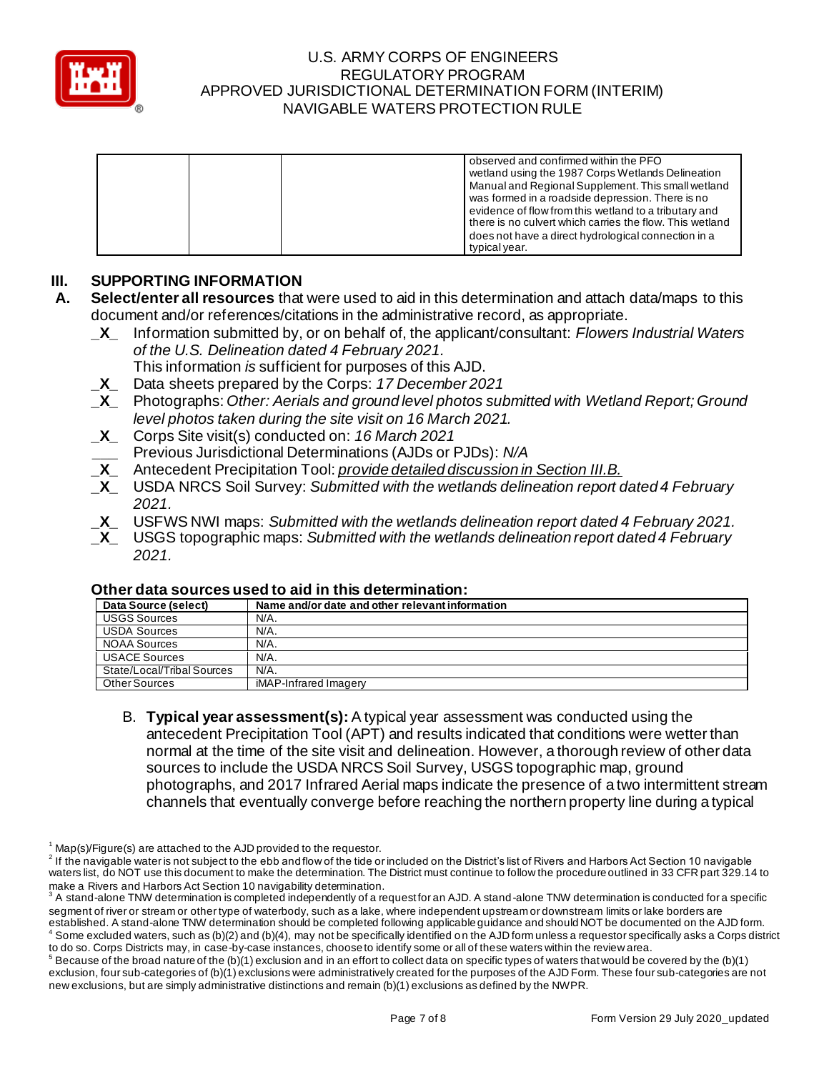

| observed and confirmed within the PFO<br>wetland using the 1987 Corps Wetlands Delineation<br>Manual and Regional Supplement. This small wetland |
|--------------------------------------------------------------------------------------------------------------------------------------------------|
| was formed in a roadside depression. There is no                                                                                                 |
| evidence of flow from this wetland to a tributary and<br>there is no culvert which carries the flow. This wetland                                |
| does not have a direct hydrological connection in a<br>typical year.                                                                             |

# **III. SUPPORTING INFORMATION**

- **A. Select/enter all resources** that were used to aid in this determination and attach data/maps to this document and/or references/citations in the administrative record, as appropriate.
	- **\_X\_** Information submitted by, or on behalf of, the applicant/consultant: *Flowers Industrial Waters of the U.S. Delineation dated 4 February 2021.*
		- This information *is* sufficient for purposes of this AJD.
	- **\_X\_** Data sheets prepared by the Corps: *17 December 2021*
	- **\_X\_** Photographs: *Other: Aerials and ground level photos submitted with Wetland Report; Ground level photos taken during the site visit on 16 March 2021.*
	- **\_X\_** Corps Site visit(s) conducted on: *16 March 2021*
	- **\_\_\_** Previous Jurisdictional Determinations (AJDs or PJDs): *N/A*
	- **\_X\_** Antecedent Precipitation Tool: *provide detailed discussion in Section III.B.*
	- **\_X\_** USDA NRCS Soil Survey: *Submitted with the wetlands delineation report dated 4 February 2021.*
	- **\_X\_** USFWS NWI maps: *Submitted with the wetlands delineation report dated 4 February 2021.*
	- **\_X\_** USGS topographic maps: *Submitted with the wetlands delineation report dated 4 February 2021.*

| omor aala oodhood adoo lo ara in mid aclomination. |                                                 |
|----------------------------------------------------|-------------------------------------------------|
| Data Source (select)                               | Name and/or date and other relevant information |
| <b>USGS Sources</b>                                | N/A.                                            |
| <b>USDA Sources</b>                                | N/A.                                            |
| <b>NOAA Sources</b>                                | N/A.                                            |
| <b>USACE Sources</b>                               | N/A.                                            |
| State/Local/Tribal Sources                         | N/A.                                            |
| Other Sources                                      | iMAP-Infrared Imagery                           |

#### **Other data sources used to aid in this determination:**

B. **Typical year assessment(s):** A typical year assessment was conducted using the antecedent Precipitation Tool (APT) and results indicated that conditions were wetter than normal at the time of the site visit and delineation. However, a thorough review of other data sources to include the USDA NRCS Soil Survey, USGS topographic map, ground photographs, and 2017 Infrared Aerial maps indicate the presence of a two intermittent stream channels that eventually converge before reaching the northern property line during a typical

 $1$  Map(s)/Figure(s) are attached to the AJD provided to the requestor.

 $^2$  If the navigable water is not subject to the ebb and flow of the tide or included on the District's list of Rivers and Harbors Act Section 10 navigable waters list, do NOT use this document to make the determination. The District must continue to follow the procedure outlined in 33 CFR part 329.14 to make a Rivers and Harbors Act Section 10 navigability determination.

 $^3$  A stand-alone TNW determination is completed independently of a request for an AJD. A stand-alone TNW determination is conducted for a specific segment of river or stream or other type of waterbody, such as a lake, where independent upstream or downstream limits or lake borders are established. A stand-alone TNW determination should be completed following applicable guidance and should NOT be documented on the AJD form. Some excluded waters, such as (b)(2) and (b)(4), may not be specifically identified on the AJD form unless a requestor specifically asks a Corps district to do so. Corps Districts may, in case-by-case instances, choose to identify some or all of these waters within the review area.

 $^5$  Because of the broad nature of the (b)(1) exclusion and in an effort to collect data on specific types of waters that would be covered by the (b)(1) exclusion, four sub-categories of (b)(1) exclusions were administratively created for the purposes of the AJD Form. These four sub-categories are not new exclusions, but are simply administrative distinctions and remain (b)(1) exclusions as defined by the NWPR.